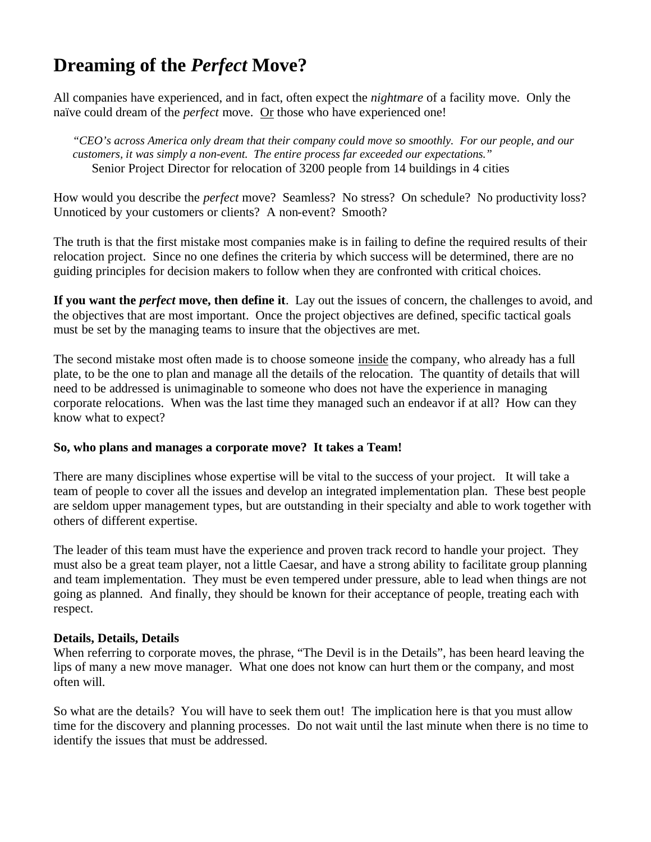## **Dreaming of the** *Perfect* **Move?**

All companies have experienced, and in fact, often expect the *nightmare* of a facility move. Only the naïve could dream of the *perfect* move. Or those who have experienced one!

*"CEO's across America only dream that their company could move so smoothly. For our people, and our customers, it was simply a non-event. The entire process far exceeded our expectations."* Senior Project Director for relocation of 3200 people from 14 buildings in 4 cities

How would you describe the *perfect* move? Seamless? No stress? On schedule? No productivity loss? Unnoticed by your customers or clients? A non-event? Smooth?

The truth is that the first mistake most companies make is in failing to define the required results of their relocation project. Since no one defines the criteria by which success will be determined, there are no guiding principles for decision makers to follow when they are confronted with critical choices.

**If you want the** *perfect* **move, then define it**. Lay out the issues of concern, the challenges to avoid, and the objectives that are most important. Once the project objectives are defined, specific tactical goals must be set by the managing teams to insure that the objectives are met.

The second mistake most often made is to choose someone inside the company, who already has a full plate, to be the one to plan and manage all the details of the relocation. The quantity of details that will need to be addressed is unimaginable to someone who does not have the experience in managing corporate relocations. When was the last time they managed such an endeavor if at all? How can they know what to expect?

## **So, who plans and manages a corporate move? It takes a Team!**

There are many disciplines whose expertise will be vital to the success of your project. It will take a team of people to cover all the issues and develop an integrated implementation plan. These best people are seldom upper management types, but are outstanding in their specialty and able to work together with others of different expertise.

The leader of this team must have the experience and proven track record to handle your project. They must also be a great team player, not a little Caesar, and have a strong ability to facilitate group planning and team implementation. They must be even tempered under pressure, able to lead when things are not going as planned. And finally, they should be known for their acceptance of people, treating each with respect.

## **Details, Details, Details**

When referring to corporate moves, the phrase, "The Devil is in the Details", has been heard leaving the lips of many a new move manager. What one does not know can hurt them or the company, and most often will.

So what are the details? You will have to seek them out! The implication here is that you must allow time for the discovery and planning processes. Do not wait until the last minute when there is no time to identify the issues that must be addressed.